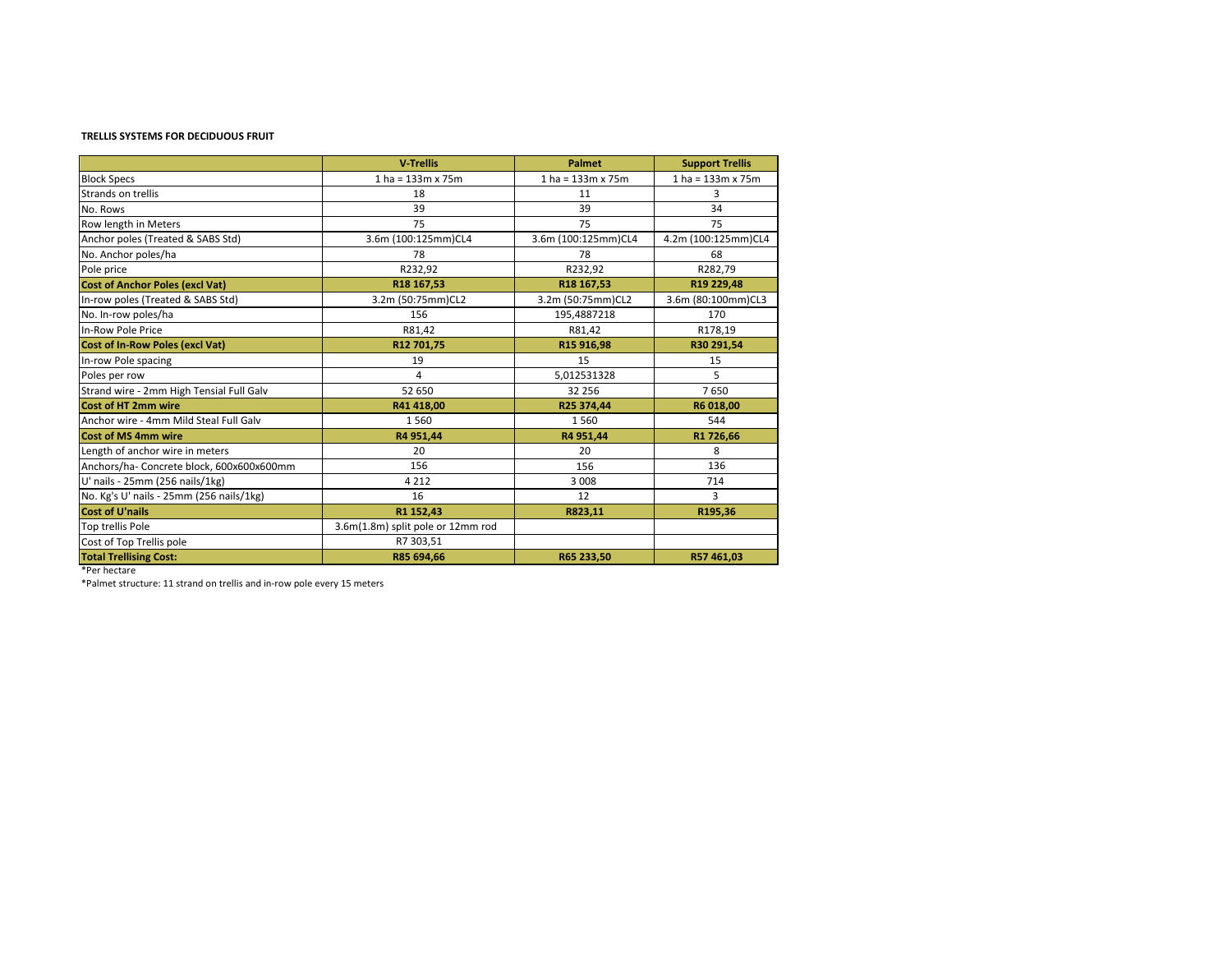## **TRELLIS SYSTEMS FOR DECIDUOUS FRUIT**

|                                          | <b>V-Trellis</b>                  | <b>Palmet</b>            | <b>Support Trellis</b>   |
|------------------------------------------|-----------------------------------|--------------------------|--------------------------|
| <b>Block Specs</b>                       | $1 ha = 133m \times 75m$          | $1 ha = 133m \times 75m$ | $1 ha = 133m \times 75m$ |
| Strands on trellis                       | 18                                | 11                       | 3                        |
| No. Rows                                 | 39                                | 39                       | 34                       |
| Row length in Meters                     | 75                                | 75                       | 75                       |
| Anchor poles (Treated & SABS Std)        | 3.6m (100:125mm)CL4               | 3.6m (100:125mm)CL4      | 4.2m (100:125mm)CL4      |
| No. Anchor poles/ha                      | 78                                | 78                       | 68                       |
| Pole price                               | R232,92                           | R232,92                  | R282,79                  |
| <b>Cost of Anchor Poles (excl Vat)</b>   | R18 167,53                        | R18 167,53               | R19 229,48               |
| In-row poles (Treated & SABS Std)        | 3.2m (50:75mm)CL2                 | 3.2m (50:75mm)CL2        | 3.6m (80:100mm)CL3       |
| No. In-row poles/ha                      | 156                               | 195,4887218              | 170                      |
| In-Row Pole Price                        | R81,42                            | R81,42                   | R178,19                  |
| Cost of In-Row Poles (excl Vat)          | R12 701,75                        | R15 916,98               | R30 291,54               |
| In-row Pole spacing                      | 19                                | 15                       | 15                       |
| Poles per row                            | 4                                 | 5,012531328              | 5                        |
| Strand wire - 2mm High Tensial Full Galv | 52 650                            | 32 256                   | 7650                     |
| <b>Cost of HT 2mm wire</b>               | R41 418,00                        | R25 374,44               | R6 018,00                |
| Anchor wire - 4mm Mild Steal Full Galv   | 1560                              | 1560                     | 544                      |
| Cost of MS 4mm wire                      | R4 951,44                         | R4 951,44                | R1 726,66                |
| Length of anchor wire in meters          | 20                                | 20                       | 8                        |
| Anchors/ha-Concrete block, 600x600x600mm | 156                               | 156                      | 136                      |
| U' nails - 25mm (256 nails/1kg)          | 4 2 1 2                           | 3 0 0 8                  | 714                      |
| No. Kg's U' nails - 25mm (256 nails/1kg) | 16                                | 12                       | 3                        |
| <b>Cost of U'nails</b>                   | R1 152,43                         | R823,11                  | R195,36                  |
| Top trellis Pole                         | 3.6m(1.8m) split pole or 12mm rod |                          |                          |
| Cost of Top Trellis pole                 | R7 303,51                         |                          |                          |
| <b>Total Trellising Cost:</b>            | R85 694,66                        | R65 233,50               | R57 461,03               |

\*Per hectare

\*Palmet structure: 11 strand on trellis and in-row pole every 15 meters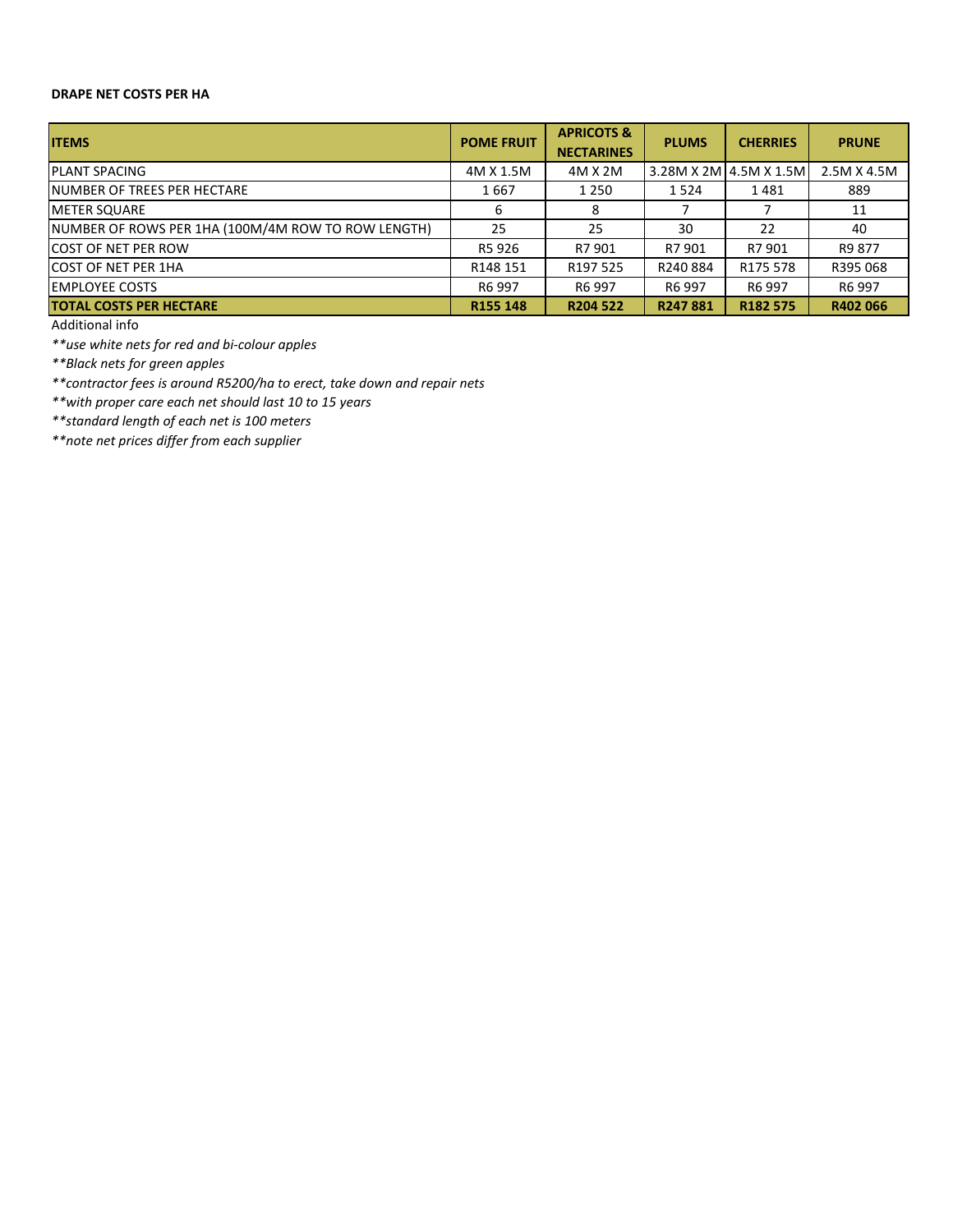## **DRAPE NET COSTS PER HA**

| <b>ITEMS</b>                                       | <b>POME FRUIT</b> | <b>APRICOTS &amp;</b><br><b>NECTARINES</b> | <b>PLUMS</b> | <b>CHERRIES</b>        | <b>PRUNE</b> |
|----------------------------------------------------|-------------------|--------------------------------------------|--------------|------------------------|--------------|
| <b>PLANT SPACING</b>                               | 4M X 1.5M         | 4M X 2M                                    |              | 3.28M X 2M 4.5M X 1.5M | 2.5M X 4.5M  |
| <b>INUMBER OF TREES PER HECTARE</b>                | 1667              | 1 2 5 0                                    | 1524         | 1481                   | 889          |
| <b>METER SQUARE</b>                                | 6                 | 8                                          |              |                        | 11           |
| NUMBER OF ROWS PER 1HA (100M/4M ROW TO ROW LENGTH) | 25                | 25                                         | 30           | 22                     | 40           |
| <b>COST OF NET PER ROW</b>                         | R5 926            | R7 901                                     | R7 901       | R7 901                 | R9 877       |
| ICOST OF NET PER 1HA                               | R148 151          | R197 525                                   | R240884      | R175 578               | R395 068     |
| <b>EMPLOYEE COSTS</b>                              | R6 997            | R6 997                                     | R6 997       | R6 997                 | R6 997       |
| <b>TOTAL COSTS PER HECTARE</b>                     | R155 148          | R204 522                                   | R247881      | R182 575               | R402 066     |

Additional info

*\*\*use white nets for red and bi-colour apples*

*\*\*Black nets for green apples*

*\*\*contractor fees is around R5200/ha to erect, take down and repair nets* 

*\*\*with proper care each net should last 10 to 15 years* 

*\*\*standard length of each net is 100 meters*

*\*\*note net prices differ from each supplier*